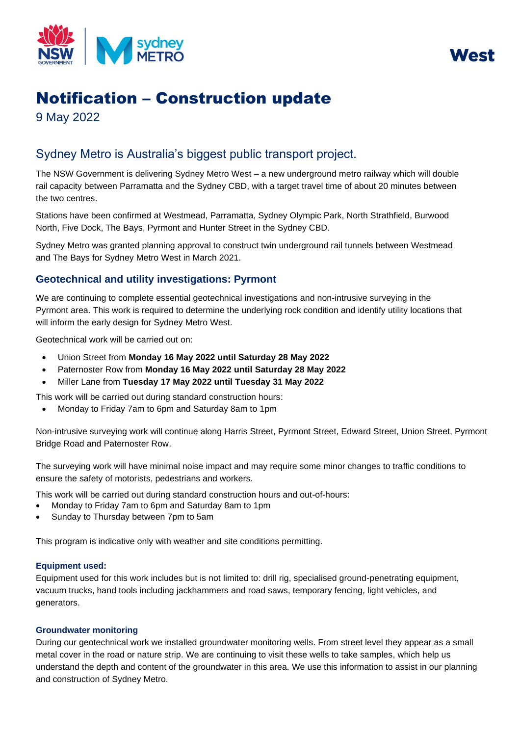



# Notification – Construction update

9 May 2022

## Sydney Metro is Australia's biggest public transport project.

The NSW Government is delivering Sydney Metro West – a new underground metro railway which will double rail capacity between Parramatta and the Sydney CBD, with a target travel time of about 20 minutes between the two centres.

Stations have been confirmed at Westmead, Parramatta, Sydney Olympic Park, North Strathfield, Burwood North, Five Dock, The Bays, Pyrmont and Hunter Street in the Sydney CBD.

Sydney Metro was granted planning approval to construct twin underground rail tunnels between Westmead and The Bays for Sydney Metro West in March 2021.

### **Geotechnical and utility investigations: Pyrmont**

We are continuing to complete essential geotechnical investigations and non-intrusive surveying in the Pyrmont area. This work is required to determine the underlying rock condition and identify utility locations that will inform the early design for Sydney Metro West.

Geotechnical work will be carried out on:

- Union Street from **Monday 16 May 2022 until Saturday 28 May 2022**
- Paternoster Row from **Monday 16 May 2022 until Saturday 28 May 2022**
- Miller Lane from **Tuesday 17 May 2022 until Tuesday 31 May 2022**

This work will be carried out during standard construction hours:

• Monday to Friday 7am to 6pm and Saturday 8am to 1pm

Non-intrusive surveying work will continue along Harris Street, Pyrmont Street, Edward Street, Union Street, Pyrmont Bridge Road and Paternoster Row.

The surveying work will have minimal noise impact and may require some minor changes to traffic conditions to ensure the safety of motorists, pedestrians and workers.

This work will be carried out during standard construction hours and out-of-hours:

- Monday to Friday 7am to 6pm and Saturday 8am to 1pm
- Sunday to Thursday between 7pm to 5am

This program is indicative only with weather and site conditions permitting.

#### **Equipment used:**

Equipment used for this work includes but is not limited to: drill rig, specialised ground-penetrating equipment, vacuum trucks, hand tools including jackhammers and road saws, temporary fencing, light vehicles, and generators.

#### **Groundwater monitoring**

During our geotechnical work we installed groundwater monitoring wells. From street level they appear as a small metal cover in the road or nature strip. We are continuing to visit these wells to take samples, which help us understand the depth and content of the groundwater in this area. We use this information to assist in our planning and construction of Sydney Metro.